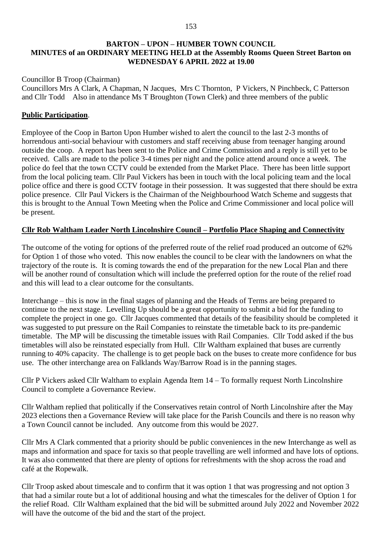### **BARTON – UPON – HUMBER TOWN COUNCIL MINUTES of an ORDINARY MEETING HELD at the Assembly Rooms Queen Street Barton on WEDNESDAY 6 APRIL 2022 at 19.00**

### Councillor B Troop (Chairman)

Councillors Mrs A Clark, A Chapman, N Jacques, Mrs C Thornton, P Vickers, N Pinchbeck, C Patterson and Cllr Todd Also in attendance Ms T Broughton (Town Clerk) and three members of the public

# **Public Participation**.

Employee of the Coop in Barton Upon Humber wished to alert the council to the last 2-3 months of horrendous anti-social behaviour with customers and staff receiving abuse from teenager hanging around outside the coop. A report has been sent to the Police and Crime Commission and a reply is still yet to be received. Calls are made to the police 3-4 times per night and the police attend around once a week. The police do feel that the town CCTV could be extended from the Market Place. There has been little support from the local policing team. Cllr Paul Vickers has been in touch with the local policing team and the local police office and there is good CCTV footage in their possession. It was suggested that there should be extra police presence. Cllr Paul Vickers is the Chairman of the Neighbourhood Watch Scheme and suggests that this is brought to the Annual Town Meeting when the Police and Crime Commissioner and local police will be present.

# **Cllr Rob Waltham Leader North Lincolnshire Council – Portfolio Place Shaping and Connectivity**

The outcome of the voting for options of the preferred route of the relief road produced an outcome of 62% for Option 1 of those who voted. This now enables the council to be clear with the landowners on what the trajectory of the route is. It is coming towards the end of the preparation for the new Local Plan and there will be another round of consultation which will include the preferred option for the route of the relief road and this will lead to a clear outcome for the consultants.

Interchange – this is now in the final stages of planning and the Heads of Terms are being prepared to continue to the next stage. Levelling Up should be a great opportunity to submit a bid for the funding to complete the project in one go. Cllr Jacques commented that details of the feasibility should be completed it was suggested to put pressure on the Rail Companies to reinstate the timetable back to its pre-pandemic timetable. The MP will be discussing the timetable issues with Rail Companies. Cllr Todd asked if the bus timetables will also be reinstated especially from Hull. Cllr Waltham explained that buses are currently running to 40% capacity. The challenge is to get people back on the buses to create more confidence for bus use. The other interchange area on Falklands Way/Barrow Road is in the panning stages.

Cllr P Vickers asked Cllr Waltham to explain Agenda Item 14 – To formally request North Lincolnshire Council to complete a Governance Review.

Cllr Waltham replied that politically if the Conservatives retain control of North Lincolnshire after the May 2023 elections then a Governance Review will take place for the Parish Councils and there is no reason why a Town Council cannot be included. Any outcome from this would be 2027.

Cllr Mrs A Clark commented that a priority should be public conveniences in the new Interchange as well as maps and information and space for taxis so that people travelling are well informed and have lots of options. It was also commented that there are plenty of options for refreshments with the shop across the road and café at the Ropewalk.

Cllr Troop asked about timescale and to confirm that it was option 1 that was progressing and not option 3 that had a similar route but a lot of additional housing and what the timescales for the deliver of Option 1 for the relief Road. Cllr Waltham explained that the bid will be submitted around July 2022 and November 2022 will have the outcome of the bid and the start of the project.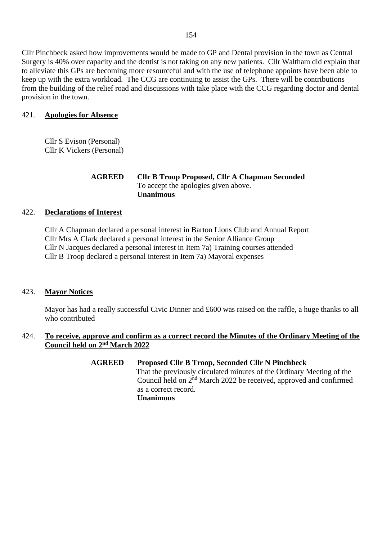Cllr Pinchbeck asked how improvements would be made to GP and Dental provision in the town as Central Surgery is 40% over capacity and the dentist is not taking on any new patients. Cllr Waltham did explain that to alleviate this GPs are becoming more resourceful and with the use of telephone appoints have been able to keep up with the extra workload. The CCG are continuing to assist the GPs. There will be contributions from the building of the relief road and discussions with take place with the CCG regarding doctor and dental provision in the town.

# 421. **Apologies for Absence**

Cllr S Evison (Personal) Cllr K Vickers (Personal)

### **AGREED Cllr B Troop Proposed, Cllr A Chapman Seconded** To accept the apologies given above. **Unanimous**

### 422. **Declarations of Interest**

Cllr A Chapman declared a personal interest in Barton Lions Club and Annual Report Cllr Mrs A Clark declared a personal interest in the Senior Alliance Group Cllr N Jacques declared a personal interest in Item 7a) Training courses attended Cllr B Troop declared a personal interest in Item 7a) Mayoral expenses

### 423. **Mayor Notices**

Mayor has had a really successful Civic Dinner and £600 was raised on the raffle, a huge thanks to all who contributed

# 424. **To receive, approve and confirm as a correct record the Minutes of the Ordinary Meeting of the Council held on 2<sup>nd</sup> March 2022**

**AGREED Proposed Cllr B Troop, Seconded Cllr N Pinchbeck** That the previously circulated minutes of the Ordinary Meeting of the Council held on 2<sup>nd</sup> March 2022 be received, approved and confirmed as a correct record. **Unanimous**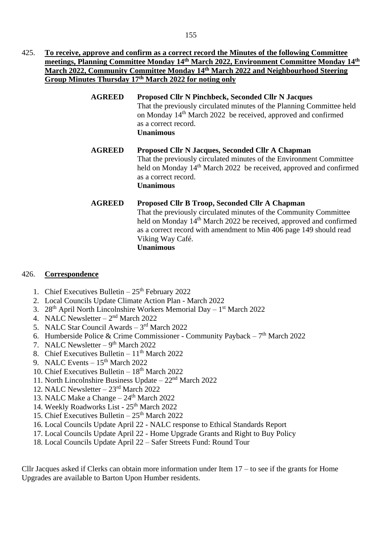- 425. **To receive, approve and confirm as a correct record the Minutes of the following Committee meetings, Planning Committee Monday 14th March 2022, Environment Committee Monday 14th March 2022, Community Committee Monday 14th March 2022 and Neighbourhood Steering Group Minutes Thursday 17th March 2022 for noting only**
	- **AGREED Proposed Cllr N Pinchbeck, Seconded Cllr N Jacques** That the previously circulated minutes of the Planning Committee held on Monday 14th March 2022 be received, approved and confirmed as a correct record. **Unanimous**
	- **AGREED Proposed Cllr N Jacques, Seconded Cllr A Chapman** That the previously circulated minutes of the Environment Committee held on Monday 14<sup>th</sup> March 2022 be received, approved and confirmed as a correct record. **Unanimous**

# **AGREED Proposed Cllr B Troop, Seconded Cllr A Chapman** That the previously circulated minutes of the Community Committee held on Monday 14<sup>th</sup> March 2022 be received, approved and confirmed as a correct record with amendment to Min 406 page 149 should read Viking Way Café. **Unanimous**

# 426. **Correspondence**

- 1. Chief Executives Bulletin  $25<sup>th</sup>$  February 2022
- 2. Local Councils Update Climate Action Plan March 2022
- 3. 28<sup>th</sup> April North Lincolnshire Workers Memorial Day 1<sup>st</sup> March 2022
- 4. NALC Newsletter  $-2<sup>nd</sup>$  March 2022
- 5. NALC Star Council Awards  $-3<sup>rd</sup>$  March 2022
- 6. Humberside Police & Crime Commissioner Community Payback  $-7<sup>th</sup>$  March 2022
- 7. NALC Newsletter  $-9<sup>th</sup>$  March 2022
- 8. Chief Executives Bulletin  $11<sup>th</sup>$  March 2022
- 9. NALC Events  $-15<sup>th</sup>$  March 2022
- 10. Chief Executives Bulletin  $18<sup>th</sup>$  March 2022
- 11. North Lincolnshire Business Update 22nd March 2022
- 12. NALC Newsletter 23rd March 2022
- 13. NALC Make a Change 24<sup>th</sup> March 2022
- 14. Weekly Roadworks List 25<sup>th</sup> March 2022
- 15. Chief Executives Bulletin  $25<sup>th</sup>$  March 2022
- 16. Local Councils Update April 22 NALC response to Ethical Standards Report
- 17. Local Councils Update April 22 Home Upgrade Grants and Right to Buy Policy
- 18. Local Councils Update April 22 Safer Streets Fund: Round Tour

Cllr Jacques asked if Clerks can obtain more information under Item 17 – to see if the grants for Home Upgrades are available to Barton Upon Humber residents.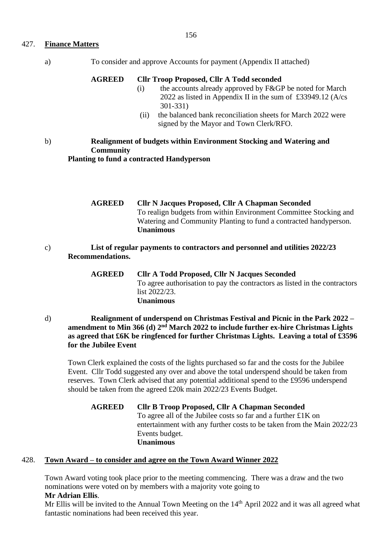### 427. **Finance Matters**

a) To consider and approve Accounts for payment (Appendix II attached)

#### **AGREED Cllr Troop Proposed, Cllr A Todd seconded**

- (i) the accounts already approved by F&GP be noted for March 2022 as listed in Appendix II in the sum of £33949.12 (A/cs 301-331)
- (ii) the balanced bank reconciliation sheets for March 2022 were signed by the Mayor and Town Clerk/RFO.

### b) **Realignment of budgets within Environment Stocking and Watering and Community Planting to fund a contracted Handyperson**

**AGREED Cllr N Jacques Proposed, Cllr A Chapman Seconded**  To realign budgets from within Environment Committee Stocking and Watering and Community Planting to fund a contracted handyperson. **Unanimous**

- c) **List of regular payments to contractors and personnel and utilities 2022/23 Recommendations.** 
	- **AGREED Cllr A Todd Proposed, Cllr N Jacques Seconded**  To agree authorisation to pay the contractors as listed in the contractors list 2022/23. **Unanimous**
- d) **Realignment of underspend on Christmas Festival and Picnic in the Park 2022 – amendment to Min 366 (d) 2nd March 2022 to include further ex-hire Christmas Lights as agreed that £6K be ringfenced for further Christmas Lights. Leaving a total of £3596 for the Jubilee Event**

Town Clerk explained the costs of the lights purchased so far and the costs for the Jubilee Event. Cllr Todd suggested any over and above the total underspend should be taken from reserves. Town Clerk advised that any potential additional spend to the £9596 underspend should be taken from the agreed £20k main 2022/23 Events Budget.

**AGREED Cllr B Troop Proposed, Cllr A Chapman Seconded**  To agree all of the Jubilee costs so far and a further £1K on entertainment with any further costs to be taken from the Main 2022/23 Events budget. **Unanimous**

### 428. **Town Award – to consider and agree on the Town Award Winner 2022**

Town Award voting took place prior to the meeting commencing. There was a draw and the two nominations were voted on by members with a majority vote going to **Mr Adrian Ellis**.

Mr Ellis will be invited to the Annual Town Meeting on the 14<sup>th</sup> April 2022 and it was all agreed what fantastic nominations had been received this year.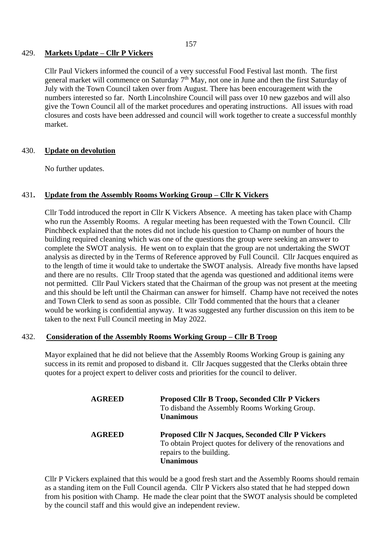### 429. **Markets Update – Cllr P Vickers**

Cllr Paul Vickers informed the council of a very successful Food Festival last month. The first general market will commence on Saturday  $7<sup>th</sup>$  May, not one in June and then the first Saturday of July with the Town Council taken over from August. There has been encouragement with the numbers interested so far. North Lincolnshire Council will pass over 10 new gazebos and will also give the Town Council all of the market procedures and operating instructions. All issues with road closures and costs have been addressed and council will work together to create a successful monthly market.

### 430. **Update on devolution**

No further updates.

### 431**. Update from the Assembly Rooms Working Group – Cllr K Vickers**

Cllr Todd introduced the report in Cllr K Vickers Absence. A meeting has taken place with Champ who run the Assembly Rooms. A regular meeting has been requested with the Town Council. Cllr Pinchbeck explained that the notes did not include his question to Champ on number of hours the building required cleaning which was one of the questions the group were seeking an answer to complete the SWOT analysis. He went on to explain that the group are not undertaking the SWOT analysis as directed by in the Terms of Reference approved by Full Council. Cllr Jacques enquired as to the length of time it would take to undertake the SWOT analysis. Already five months have lapsed and there are no results. Cllr Troop stated that the agenda was questioned and additional items were not permitted. Cllr Paul Vickers stated that the Chairman of the group was not present at the meeting and this should be left until the Chairman can answer for himself. Champ have not received the notes and Town Clerk to send as soon as possible. Cllr Todd commented that the hours that a cleaner would be working is confidential anyway. It was suggested any further discussion on this item to be taken to the next Full Council meeting in May 2022.

#### 432. **Consideration of the Assembly Rooms Working Group – Cllr B Troop**

Mayor explained that he did not believe that the Assembly Rooms Working Group is gaining any success in its remit and proposed to disband it. Cllr Jacques suggested that the Clerks obtain three quotes for a project expert to deliver costs and priorities for the council to deliver.

| <b>AGREED</b> | <b>Proposed Cllr B Troop, Seconded Cllr P Vickers</b><br>To disband the Assembly Rooms Working Group.<br><b>Unanimous</b>                                               |
|---------------|-------------------------------------------------------------------------------------------------------------------------------------------------------------------------|
| <b>AGREED</b> | <b>Proposed Cllr N Jacques, Seconded Cllr P Vickers</b><br>To obtain Project quotes for delivery of the renovations and<br>repairs to the building.<br><b>Unanimous</b> |

Cllr P Vickers explained that this would be a good fresh start and the Assembly Rooms should remain as a standing item on the Full Council agenda. Cllr P Vickers also stated that he had stepped down from his position with Champ. He made the clear point that the SWOT analysis should be completed by the council staff and this would give an independent review.